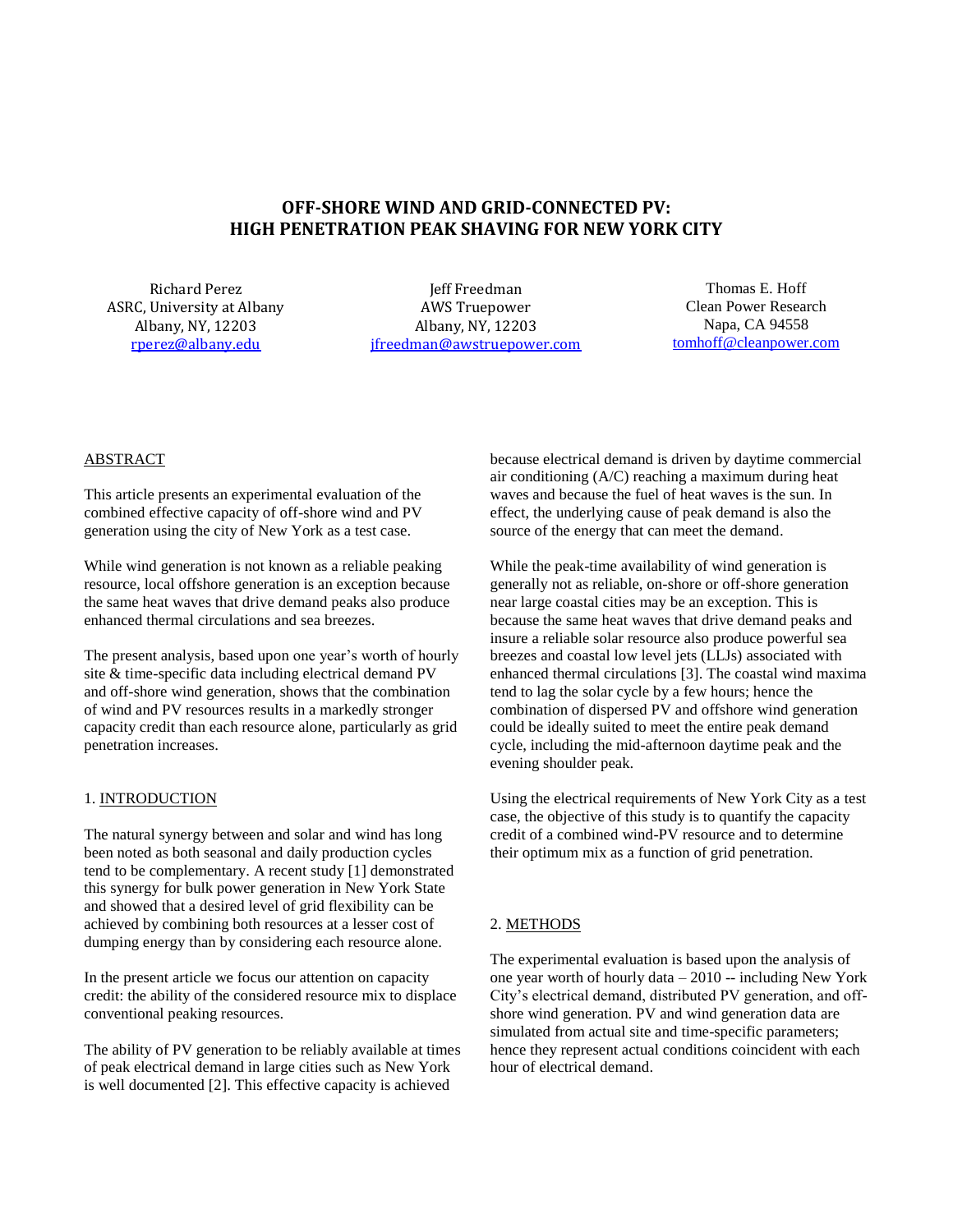# **OFF-SHORE WIND AND GRID-CONNECTED PV: HIGH PENETRATION PEAK SHAVING FOR NEW YORK CITY**

Richard Perez ASRC, University at Albany Albany, NY, 12203 [rperez@albany.edu](mailto:rperez@albany.edu)

Jeff Freedman AWS Truepower Albany, NY, 12203 jfreedman@awstruepower.com

Thomas E. Hoff Clean Power Research Napa, CA 94558 [tomhoff@cleanpower.com](mailto:tomhoff@cleanpower.com)

## ABSTRACT

This article presents an experimental evaluation of the combined effective capacity of off-shore wind and PV generation using the city of New York as a test case.

While wind generation is not known as a reliable peaking resource, local offshore generation is an exception because the same heat waves that drive demand peaks also produce enhanced thermal circulations and sea breezes.

The present analysis, based upon one year's worth of hourly site & time-specific data including electrical demand PV and off-shore wind generation, shows that the combination of wind and PV resources results in a markedly stronger capacity credit than each resource alone, particularly as grid penetration increases.

## 1. INTRODUCTION

The natural synergy between and solar and wind has long been noted as both seasonal and daily production cycles tend to be complementary. A recent study [1] demonstrated this synergy for bulk power generation in New York State and showed that a desired level of grid flexibility can be achieved by combining both resources at a lesser cost of dumping energy than by considering each resource alone.

In the present article we focus our attention on capacity credit: the ability of the considered resource mix to displace conventional peaking resources.

The ability of PV generation to be reliably available at times of peak electrical demand in large cities such as New York is well documented [2]. This effective capacity is achieved

because electrical demand is driven by daytime commercial air conditioning (A/C) reaching a maximum during heat waves and because the fuel of heat waves is the sun. In effect, the underlying cause of peak demand is also the source of the energy that can meet the demand.

While the peak-time availability of wind generation is generally not as reliable, on-shore or off-shore generation near large coastal cities may be an exception. This is because the same heat waves that drive demand peaks and insure a reliable solar resource also produce powerful sea breezes and coastal low level jets (LLJs) associated with enhanced thermal circulations [3]. The coastal wind maxima tend to lag the solar cycle by a few hours; hence the combination of dispersed PV and offshore wind generation could be ideally suited to meet the entire peak demand cycle, including the mid-afternoon daytime peak and the evening shoulder peak.

Using the electrical requirements of New York City as a test case, the objective of this study is to quantify the capacity credit of a combined wind-PV resource and to determine their optimum mix as a function of grid penetration.

#### 2. METHODS

The experimental evaluation is based upon the analysis of one year worth of hourly data – 2010 -- including New York City's electrical demand, distributed PV generation, and offshore wind generation. PV and wind generation data are simulated from actual site and time-specific parameters; hence they represent actual conditions coincident with each hour of electrical demand.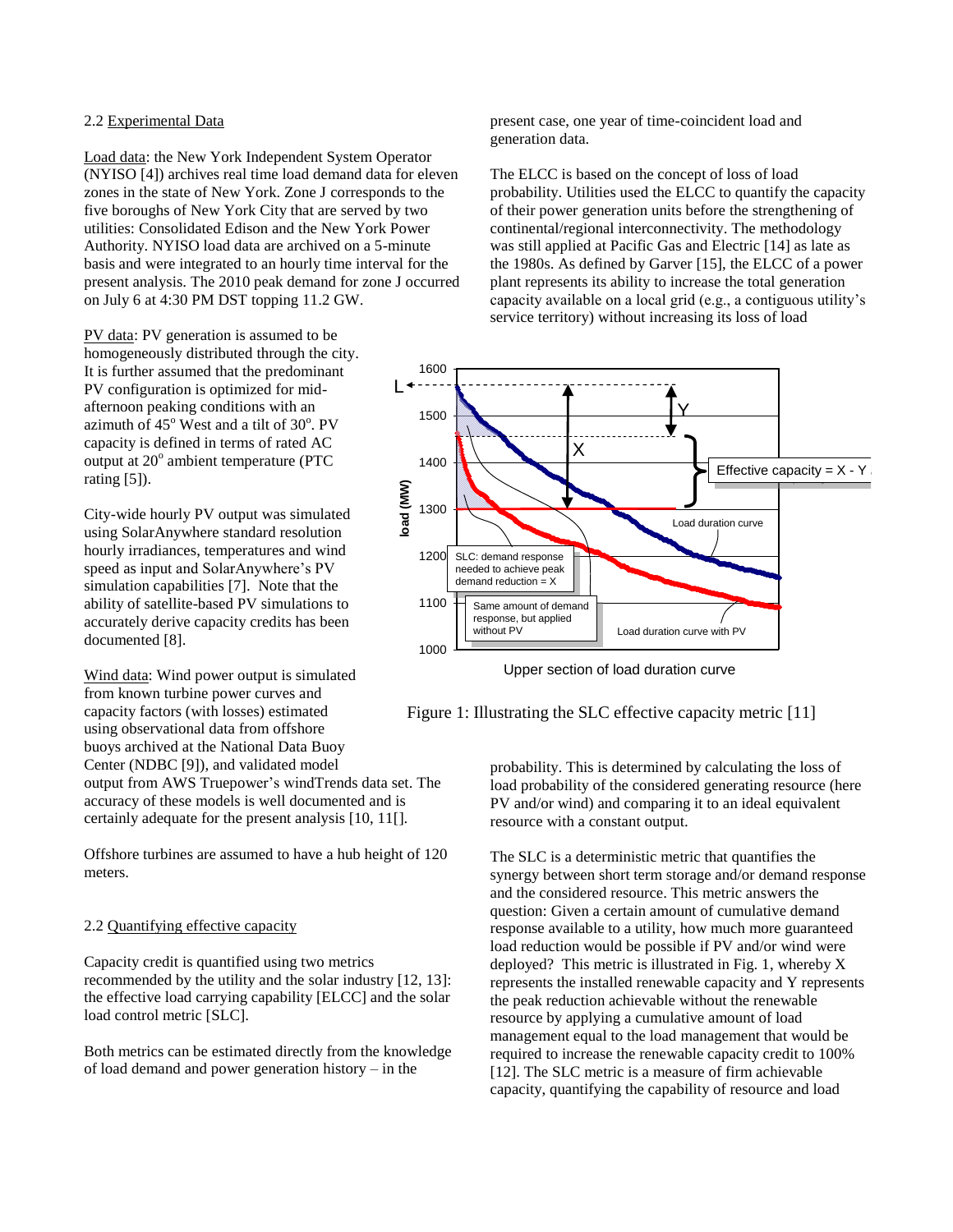## 2.2 Experimental Data

Load data: the New York Independent System Operator (NYISO [4]) archives real time load demand data for eleven zones in the state of New York. Zone J corresponds to the five boroughs of New York City that are served by two utilities: Consolidated Edison and the New York Power Authority. NYISO load data are archived on a 5-minute basis and were integrated to an hourly time interval for the present analysis. The 2010 peak demand for zone J occurred on July 6 at 4:30 PM DST topping 11.2 GW.

PV data: PV generation is assumed to be homogeneously distributed through the city. It is further assumed that the predominant PV configuration is optimized for midafternoon peaking conditions with an azimuth of  $45^{\circ}$  West and a tilt of  $30^{\circ}$ . PV capacity is defined in terms of rated AC output at 20 o ambient temperature (PTC rating [5]).

City-wide hourly PV output was simulated using SolarAnywhere standard resolution hourly irradiances, temperatures and wind speed as input and SolarAnywhere's PV simulation capabilities [7]. Note that the ability of satellite-based PV simulations to accurately derive capacity credits has been documented [8].

Wind data: Wind power output is simulated from known turbine power curves and capacity factors (with losses) estimated using observational data from offshore buoys archived at the National Data Buoy Center (NDBC [9]), and validated model output from AWS Truepower's windTrends data set. The accuracy of these models is well documented and is certainly adequate for the present analysis [10, 11[].

Offshore turbines are assumed to have a hub height of 120 meters.

### 2.2 Quantifying effective capacity

Capacity credit is quantified using two metrics recommended by the utility and the solar industry [12, 13]: the effective load carrying capability [ELCC] and the solar load control metric [SLC].

Both metrics can be estimated directly from the knowledge of load demand and power generation history – in the

present case, one year of time-coincident load and generation data.

The ELCC is based on the concept of loss of load probability. Utilities used the ELCC to quantify the capacity of their power generation units before the strengthening of continental/regional interconnectivity. The methodology was still applied at Pacific Gas and Electric [14] as late as the 1980s. As defined by Garver [15], the ELCC of a power plant represents its ability to increase the total generation capacity available on a local grid (e.g., a contiguous utility's service territory) without increasing its loss of load



Upper section of load duration curve

### Figure 1: Illustrating the SLC effective capacity metric [11]

probability. This is determined by calculating the loss of load probability of the considered generating resource (here PV and/or wind) and comparing it to an ideal equivalent resource with a constant output.

The SLC is a deterministic metric that quantifies the synergy between short term storage and/or demand response and the considered resource. This metric answers the question: Given a certain amount of cumulative demand response available to a utility, how much more guaranteed load reduction would be possible if PV and/or wind were deployed? This metric is illustrated in Fig. 1, whereby X represents the installed renewable capacity and Y represents the peak reduction achievable without the renewable resource by applying a cumulative amount of load management equal to the load management that would be required to increase the renewable capacity credit to 100% [12]. The SLC metric is a measure of firm achievable capacity, quantifying the capability of resource and load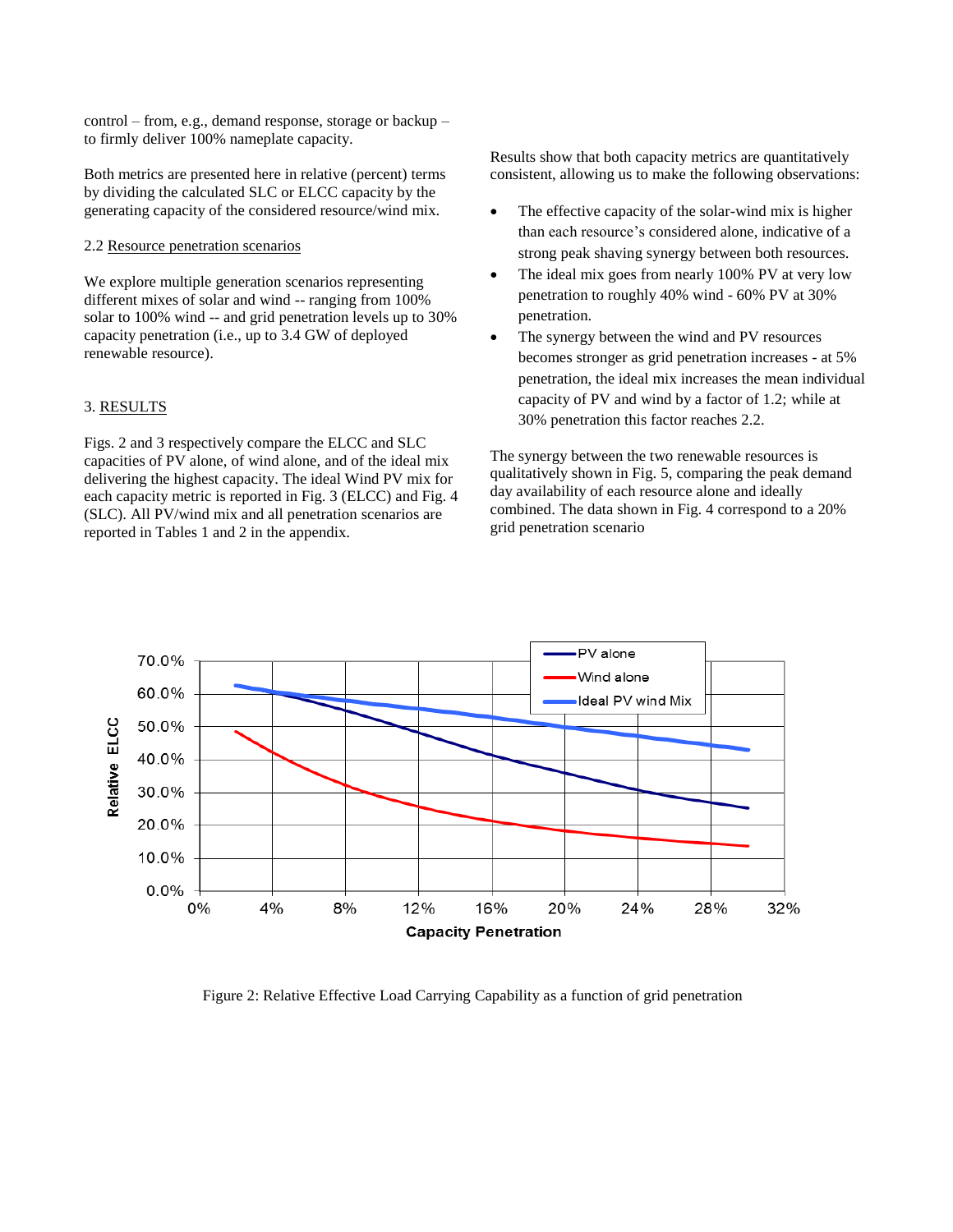control – from, e.g., demand response, storage or backup – to firmly deliver 100% nameplate capacity.

Both metrics are presented here in relative (percent) terms by dividing the calculated SLC or ELCC capacity by the generating capacity of the considered resource/wind mix.

### 2.2 Resource penetration scenarios

We explore multiple generation scenarios representing different mixes of solar and wind -- ranging from 100% solar to 100% wind -- and grid penetration levels up to 30% capacity penetration (i.e., up to 3.4 GW of deployed renewable resource).

#### 3. RESULTS

Figs. 2 and 3 respectively compare the ELCC and SLC capacities of PV alone, of wind alone, and of the ideal mix delivering the highest capacity. The ideal Wind PV mix for each capacity metric is reported in Fig. 3 (ELCC) and Fig. 4 (SLC). All PV/wind mix and all penetration scenarios are reported in Tables 1 and 2 in the appendix.

Results show that both capacity metrics are quantitatively consistent, allowing us to make the following observations:

- The effective capacity of the solar-wind mix is higher than each resource's considered alone, indicative of a strong peak shaving synergy between both resources.
- The ideal mix goes from nearly 100% PV at very low penetration to roughly 40% wind - 60% PV at 30% penetration.
- The synergy between the wind and PV resources becomes stronger as grid penetration increases - at 5% penetration, the ideal mix increases the mean individual capacity of PV and wind by a factor of 1.2; while at 30% penetration this factor reaches 2.2.

The synergy between the two renewable resources is qualitatively shown in Fig. 5, comparing the peak demand day availability of each resource alone and ideally combined. The data shown in Fig. 4 correspond to a 20% grid penetration scenario



Figure 2: Relative Effective Load Carrying Capability as a function of grid penetration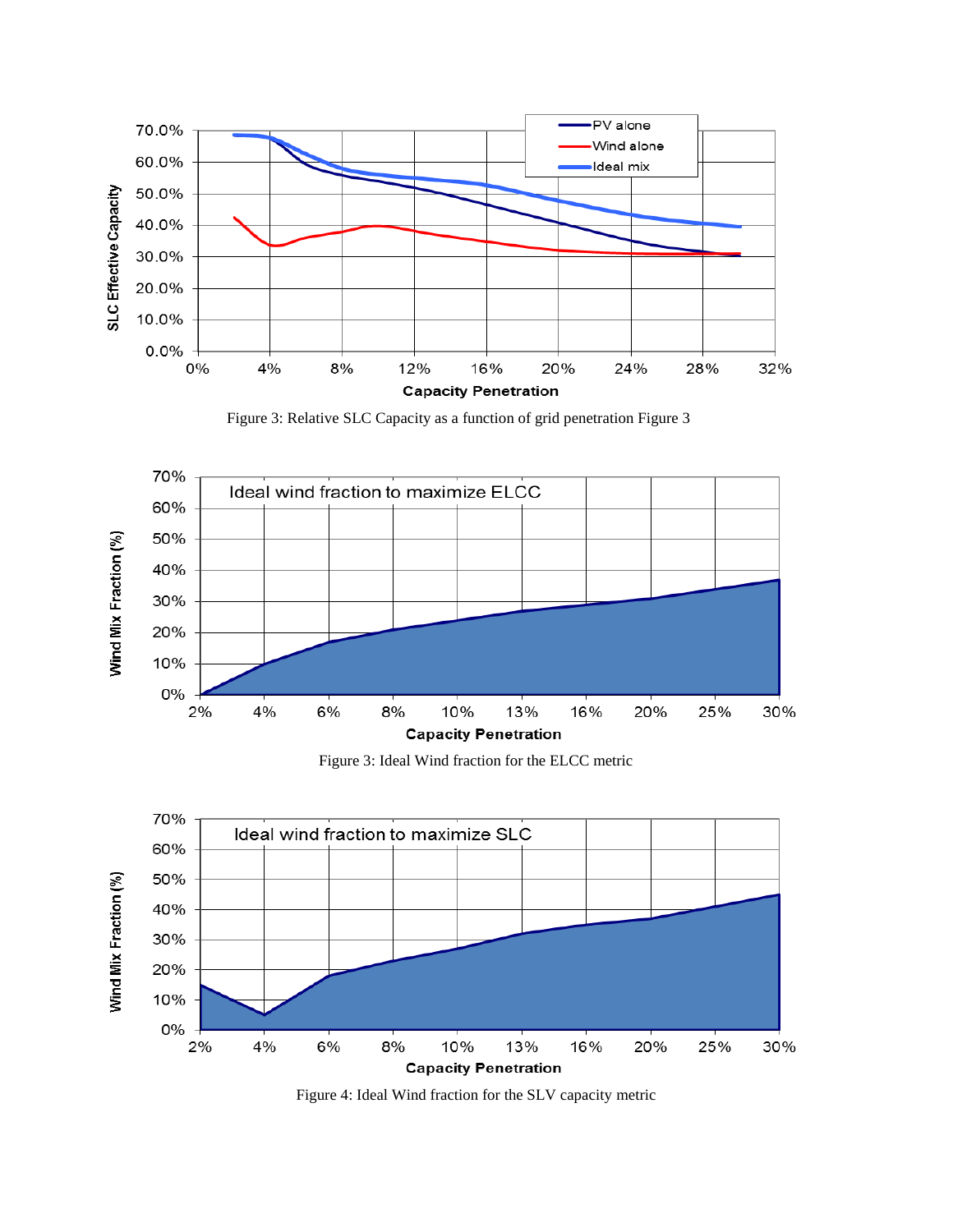

Figure 3: Relative SLC Capacity as a function of grid penetration Figure 3



Figure 3: Ideal Wind fraction for the ELCC metric



Figure 4: Ideal Wind fraction for the SLV capacity metric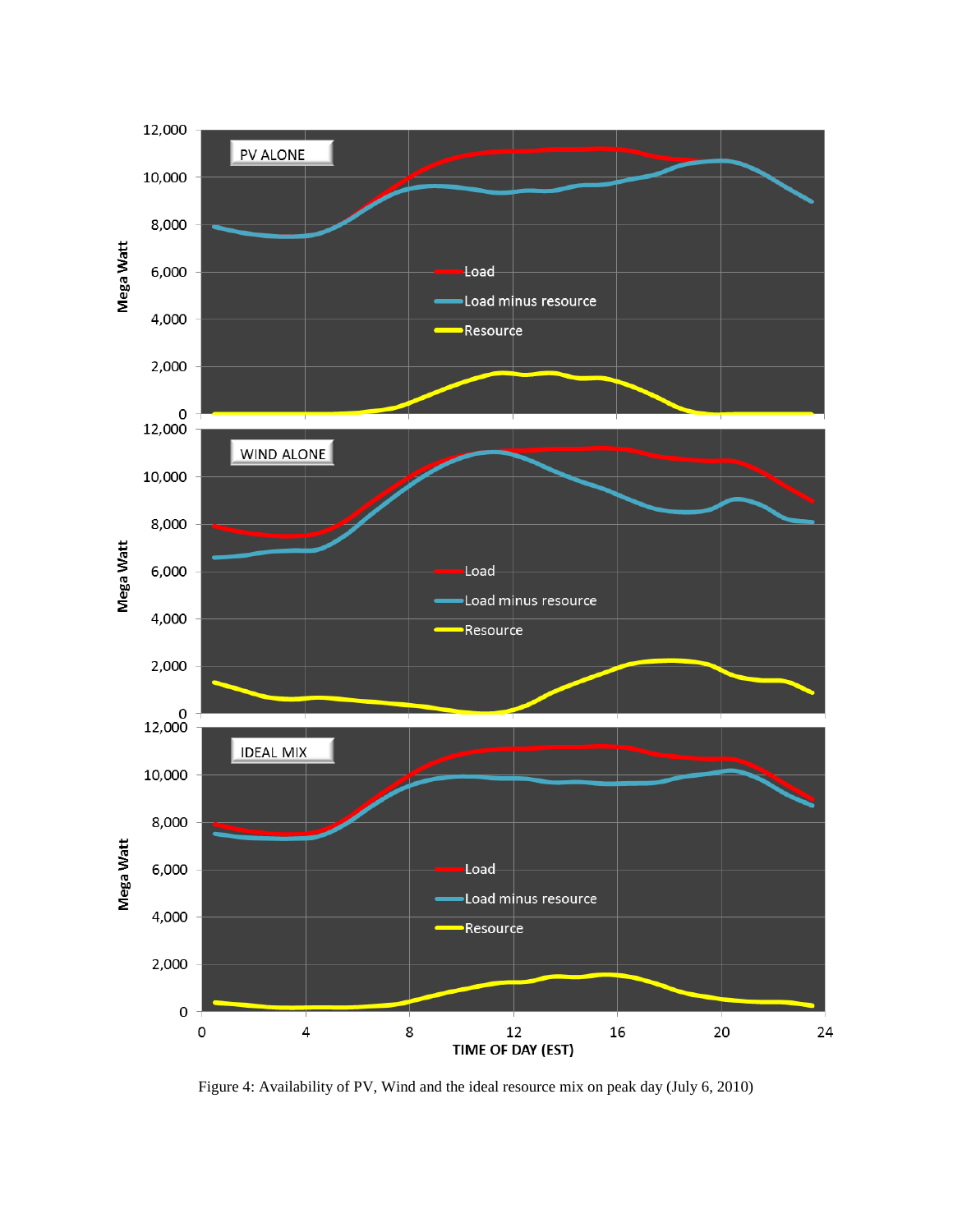

Figure 4: Availability of PV, Wind and the ideal resource mix on peak day (July 6, 2010)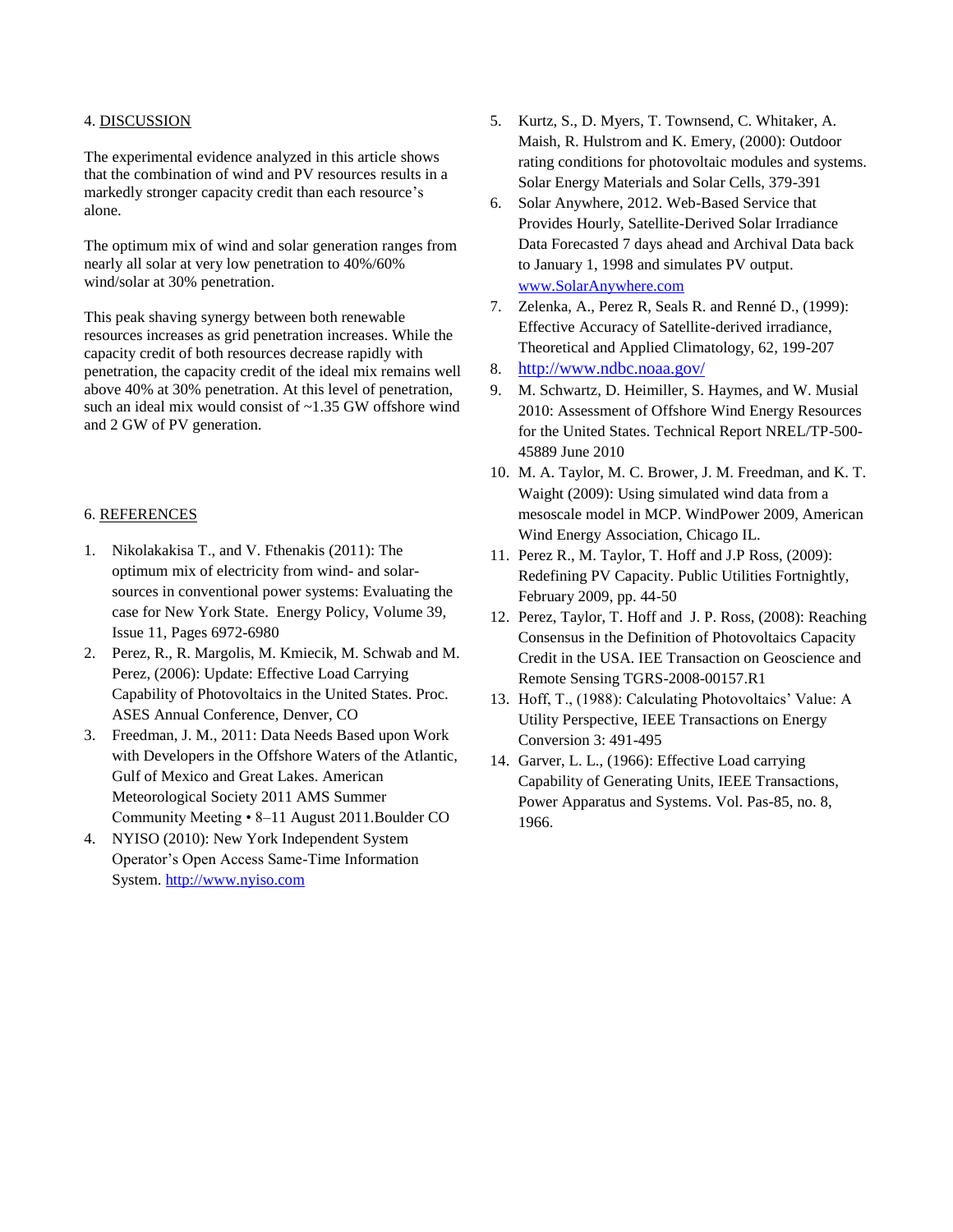### 4. DISCUSSION

The experimental evidence analyzed in this article shows that the combination of wind and PV resources results in a markedly stronger capacity credit than each resource's alone.

The optimum mix of wind and solar generation ranges from nearly all solar at very low penetration to 40%/60% wind/solar at 30% penetration.

This peak shaving synergy between both renewable resources increases as grid penetration increases. While the capacity credit of both resources decrease rapidly with penetration, the capacity credit of the ideal mix remains well above 40% at 30% penetration. At this level of penetration, such an ideal mix would consist of ~1.35 GW offshore wind and 2 GW of PV generation.

# 6. REFERENCES

- 1. Nikolakakisa T., and V. Fthenakis (2011): The optimum mix of electricity from wind- and solarsources in conventional power systems: Evaluating the case for New York State. Energy Policy, Volume 39, Issue 11, Pages 6972-6980
- 2. Perez, R., R. Margolis, M. Kmiecik, M. Schwab and M. Perez, (2006): Update: Effective Load Carrying Capability of Photovoltaics in the United States. Proc. ASES Annual Conference, Denver, CO
- 3. Freedman, J. M., 2011: Data Needs Based upon Work with Developers in the Offshore Waters of the Atlantic, Gulf of Mexico and Great Lakes. American Meteorological Society 2011 AMS Summer Community Meeting • 8–11 August 2011.Boulder CO
- 4. NYISO (2010): New York Independent System Operator's Open Access Same-Time Information System. [http://www.nyiso.com](http://www.nyiso.com/)
- 5. Kurtz, S., D. Myers, T. Townsend, C. Whitaker, A. Maish, R. Hulstrom and K. Emery, (2000): Outdoor rating conditions for photovoltaic modules and systems. Solar Energy Materials and Solar Cells, 379-391
- 6. Solar Anywhere, 2012. Web-Based Service that Provides Hourly, Satellite-Derived Solar Irradiance Data Forecasted 7 days ahead and Archival Data back to January 1, 1998 and simulates PV output. [www.SolarAnywhere.com](http://www.solaranywhere.com/)
- 7. Zelenka, A., Perez R, Seals R. and Renné D., (1999): Effective Accuracy of Satellite-derived irradiance, Theoretical and Applied Climatology, 62, 199-207
- 8. <http://www.ndbc.noaa.gov/>
- 9. M. Schwartz, D. Heimiller, S. Haymes, and W. Musial 2010: Assessment of Offshore Wind Energy Resources for the United States. Technical Report NREL/TP-500- 45889 June 2010
- 10. M. A. Taylor, M. C. Brower, J. M. Freedman, and K. T. Waight (2009): Using simulated wind data from a mesoscale model in MCP. WindPower 2009, American Wind Energy Association, Chicago IL.
- 11. Perez R., M. Taylor, T. Hoff and J.P Ross, (2009): Redefining PV Capacity. Public Utilities Fortnightly, February 2009, pp. 44-50
- 12. Perez, Taylor, T. Hoff and J. P. Ross, (2008): Reaching Consensus in the Definition of Photovoltaics Capacity Credit in the USA. IEE Transaction on Geoscience and Remote Sensing TGRS-2008-00157.R1
- 13. Hoff, T., (1988): Calculating Photovoltaics' Value: A Utility Perspective, IEEE Transactions on Energy Conversion 3: 491-495
- 14. Garver, L. L., (1966): Effective Load carrying Capability of Generating Units, IEEE Transactions, Power Apparatus and Systems. Vol. Pas-85, no. 8, 1966.